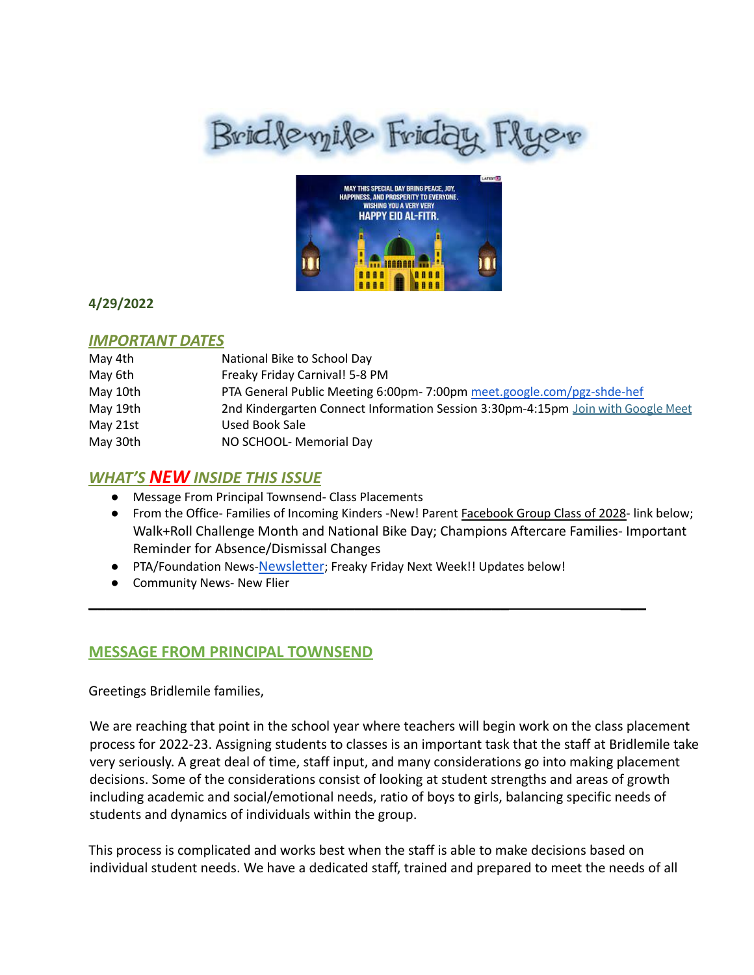# Brid levyile Friday Flyer



## **4/29/2022**

## *IMPORTANT DATES*

| May 4th  | National Bike to School Day                                                      |
|----------|----------------------------------------------------------------------------------|
| May 6th  | Freaky Friday Carnival! 5-8 PM                                                   |
| May 10th | PTA General Public Meeting 6:00pm- 7:00pm meet.google.com/pgz-shde-hef           |
| May 19th | 2nd Kindergarten Connect Information Session 3:30pm-4:15pm Join with Google Meet |
| May 21st | Used Book Sale                                                                   |
| May 30th | NO SCHOOL- Memorial Day                                                          |

# *WHAT'S NEW INSIDE THIS ISSUE*

- Message From Principal Townsend- Class Placements
- From the Office- Families of Incoming Kinders -New! Parent Facebook Group Class of 2028- link below; Walk+Roll Challenge Month and National Bike Day; Champions Aftercare Families- Important Reminder for Absence/Dismissal Changes
- PTA/Foundation News-[Newsletter](https://docs.google.com/document/u/1/d/e/2PACX-1vQlZCPHtKxqO7qpJwiwgoeaZ1ERHVLgg6z0JNYJMTulwn7xlOVY_X2I1ZV9nntsGHP57LEZ_uSufaFj/pub); Freaky Friday Next Week!! Updates below!

\_\_\_\_\_\_\_\_\_\_\_\_\_\_\_\_\_\_\_\_\_\_\_\_\_\_\_\_\_\_\_\_\_\_\_\_\_\_\_\_\_\_\_\_\_\_\_\_\_ \_\_\_

● Community News- New Flier

# **MESSAGE FROM PRINCIPAL TOWNSEND**

Greetings Bridlemile families,

We are reaching that point in the school year where teachers will begin work on the class placement process for 2022-23. Assigning students to classes is an important task that the staff at Bridlemile take very seriously. A great deal of time, staff input, and many considerations go into making placement decisions. Some of the considerations consist of looking at student strengths and areas of growth including academic and social/emotional needs, ratio of boys to girls, balancing specific needs of students and dynamics of individuals within the group.

This process is complicated and works best when the staff is able to make decisions based on individual student needs. We have a dedicated staff, trained and prepared to meet the needs of all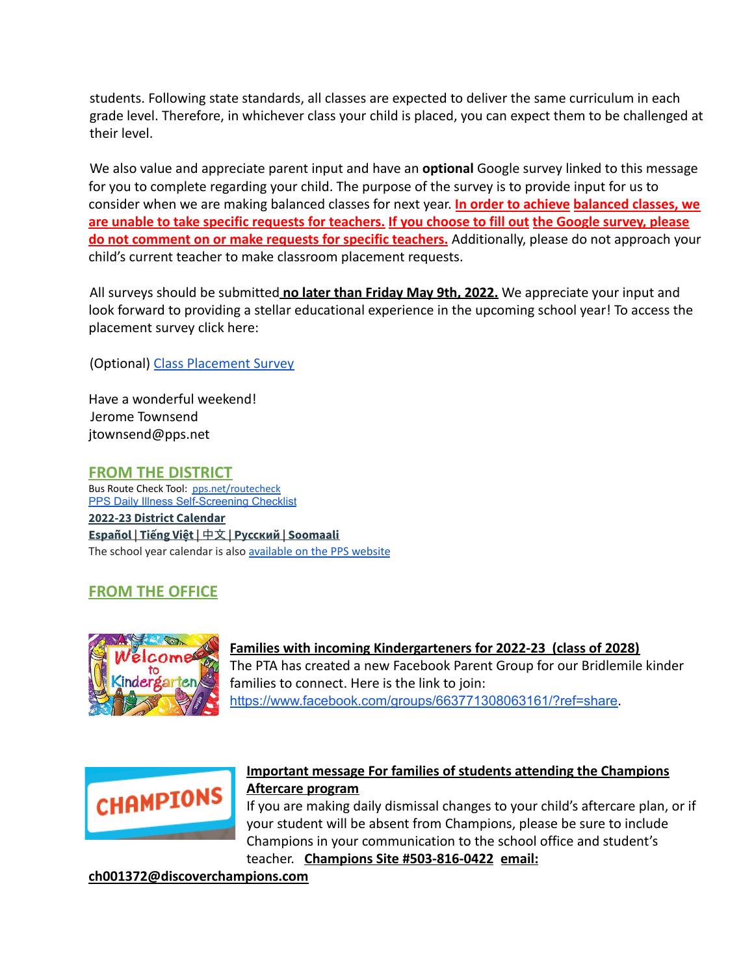students. Following state standards, all classes are expected to deliver the same curriculum in each grade level. Therefore, in whichever class your child is placed, you can expect them to be challenged at their level.

We also value and appreciate parent input and have an **optional** Google survey linked to this message for you to complete regarding your child. The purpose of the survey is to provide input for us to consider when we are making balanced classes for next year. **In order to achieve balanced classes, we are unable to take specific requests for teachers. If you choose to fill out the Google survey, please do not comment on or make requests for specific teachers.** Additionally, please do not approach your child's current teacher to make classroom placement requests.

All surveys should be submitted **no later than Friday May 9th, 2022.** We appreciate your input and look forward to providing a stellar educational experience in the upcoming school year! To access the placement survey click here:

(Optional) [Class Placement Survey](https://docs.google.com/forms/d/e/1FAIpQLSeAFPGq4M4DMPU5rwB-NoeCzwRpfZGzOvx_Pkv8HXses1Mpyg/viewform?usp=sf_link)

Have a wonderful weekend! Jerome Townsend jtownsend@pps.net

## **FROM THE DISTRICT**

Bus Route Check Tool: [pps.net/routecheck](https://www.pps.net/routecheck) **[PPS Daily Illness Self-Screening Checklist](https://www.pps.net/Page/18693) 2022-23 District [Calendar](https://www.pps.net/cms/lib/OR01913224/Centricity/Domain/4/PPS-Calendar-2022-23.pdf) [Español](https://www.pps.net/cms/lib/OR01913224/Centricity/Domain/4/PPS_Calendar-2022-23_Spanish.pdf) | [Tiếng](https://www.pps.net/cms/lib/OR01913224/Centricity/Domain/4/PPS_Calendar_2022-23-Vietnamese.pdf) Việt |** [中文](https://www.pps.net/cms/lib/OR01913224/Centricity/Domain/4/PPS_Calendar-2022-23_Chinese.pdf) **| [Русский](https://www.pps.net/cms/lib/OR01913224/Centricity/Domain/4/PPS_Calendar-2022-23_Russian.pdf) | [Soomaali](https://www.pps.net/cms/lib/OR01913224/Centricity/Domain/4/PPS_Calendar-2022-23_Somali.pdf)** The school year calendar is also [available](https://www.pps.net/Page/2#calendar1/20220420/month) on the PPS website

# **FROM THE OFFICE**



**Families with incoming Kindergarteners for 2022-23 (class of 2028)** The PTA has created a new Facebook Parent Group for our Bridlemile kinder families to connect. Here is the link to join: <https://www.facebook.com/groups/663771308063161/?ref=share>.



# **Important message For families of students attending the Champions Aftercare program**

If you are making daily dismissal changes to your child's aftercare plan, or if your student will be absent from Champions, please be sure to include Champions in your communication to the school office and student's teacher. **Champions Site #503-816-0422 email:**

#### **ch001372@discoverchampions.com**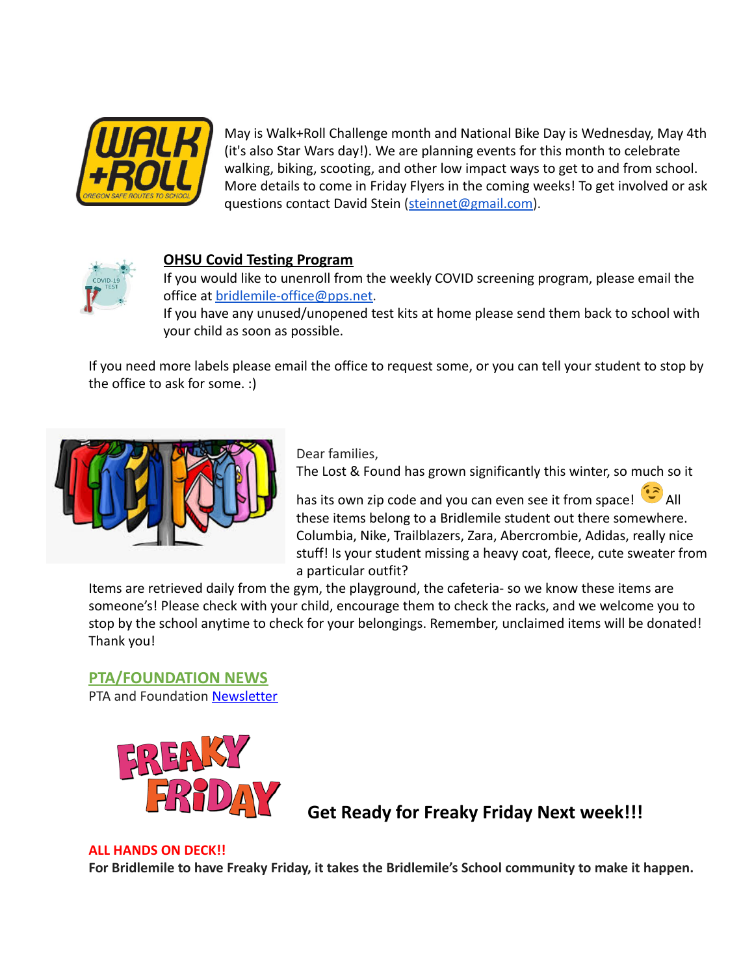

May is Walk+Roll Challenge month and National Bike Day is Wednesday, May 4th (it's also Star Wars day!). We are planning events for this month to celebrate walking, biking, scooting, and other low impact ways to get to and from school. More details to come in Friday Flyers in the coming weeks! To get involved or ask questions contact David Stein [\(steinnet@gmail.com\)](mailto:steinnet@gmail.com).



# **OHSU Covid Testing Program**

If you would like to unenroll from the weekly COVID screening program, please email the office at bridlemile-office@pps.net.

If you have any unused/unopened test kits at home please send them back to school with your child as soon as possible.

If you need more labels please email the office to request some, or you can tell your student to stop by the office to ask for some. :)



Dear families,

The Lost & Found has grown significantly this winter, so much so it

has its own zip code and you can even see it from space!  $\bullet$  All these items belong to a Bridlemile student out there somewhere. Columbia, Nike, Trailblazers, Zara, Abercrombie, Adidas, really nice stuff! Is your student missing a heavy coat, fleece, cute sweater from a particular outfit?

Items are retrieved daily from the gym, the playground, the cafeteria- so we know these items are someone's! Please check with your child, encourage them to check the racks, and we welcome you to stop by the school anytime to check for your belongings. Remember, unclaimed items will be donated! Thank you!

**PTA/FOUNDATION NEWS** PTA and Foundation [Newsletter](https://docs.google.com/document/u/1/d/e/2PACX-1vQlZCPHtKxqO7qpJwiwgoeaZ1ERHVLgg6z0JNYJMTulwn7xlOVY_X2I1ZV9nntsGHP57LEZ_uSufaFj/pub)



**Get Ready for Freaky Friday Next week!!!**

#### **ALL HANDS ON DECK!!**

**For Bridlemile to have Freaky Friday, it takes the Bridlemile's School community to make it happen.**